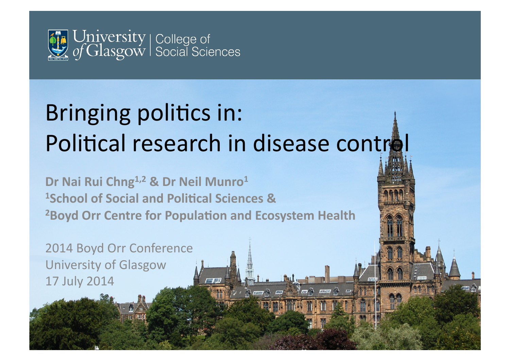

## Bringing politics in: Political research in disease control

 $\mathbb{Z}$ 

 $\mathbb{Z}$ 

 $\overline{r}$ 

Dr Nai Rui Chng<sup>1,2</sup> & Dr Neil Munro<sup>1</sup> **1School of Social and Political Sciences &** <sup>2</sup> Boyd Orr Centre for Population and Ecosystem Health

2014 Boyd Orr Conference University of Glasgow 17 July 2014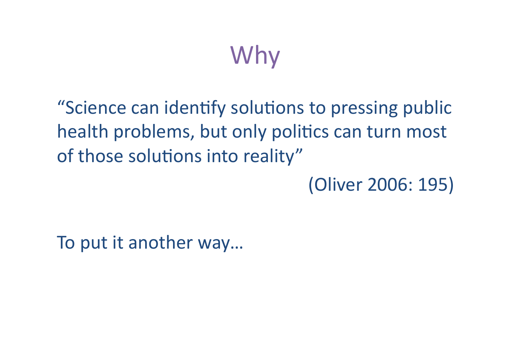# Why

"Science can identify solutions to pressing public health problems, but only politics can turn most of those solutions into reality"

(Oliver 2006: 195)

To put it another way...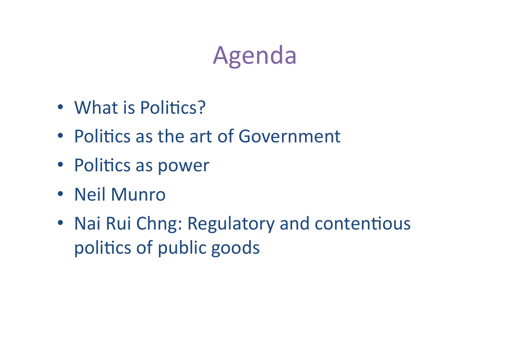## Agenda

- What is Politics?
- Politics as the art of Government
- Politics as power
- Neil Munro
- Nai Rui Chng: Regulatory and contentious politics of public goods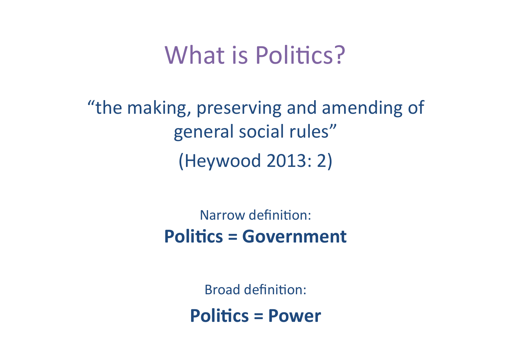### What is Politics?

"the making, preserving and amending of general social rules" (Heywood 2013: 2) 

> Narrow definition: **Politics = Government**

> > **Broad definition:**

**Politics = Power**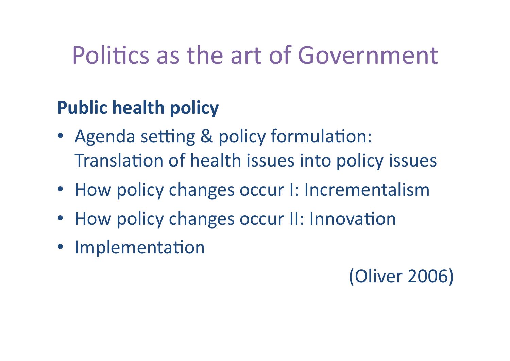### Politics as the art of Government

### **Public health policy**

- Agenda setting & policy formulation: Translation of health issues into policy issues
- How policy changes occur I: Incrementalism
- How policy changes occur II: Innovation
- Implementation

(Oliver 2006)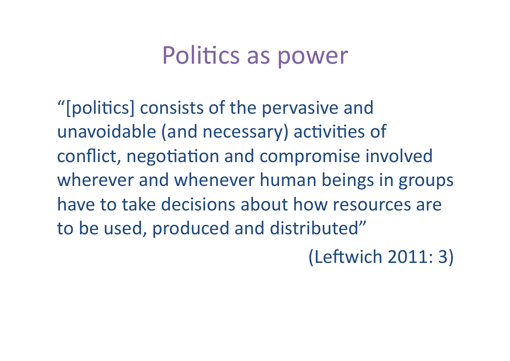### Politics as power

"[politics] consists of the pervasive and unavoidable (and necessary) activities of conflict, negotiation and compromise involved wherever and whenever human beings in groups have to take decisions about how resources are to be used, produced and distributed"

(Leftwich 2011: 3)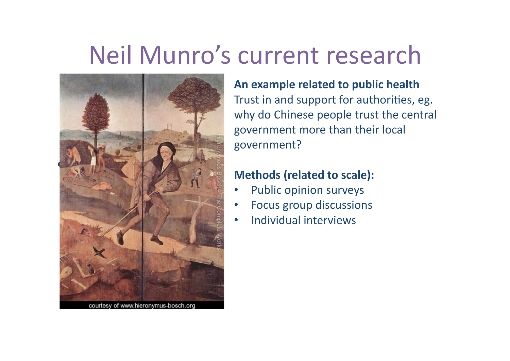### Neil Munro's current research



courtesy of www.hieronymus-bosch.org

**An example related to public health** Trust in and support for authorities, eg. why do Chinese people trust the central government more than their local government? 

#### **Methods (related to scale):**

- Public opinion surveys
- Focus group discussions
- Individual interviews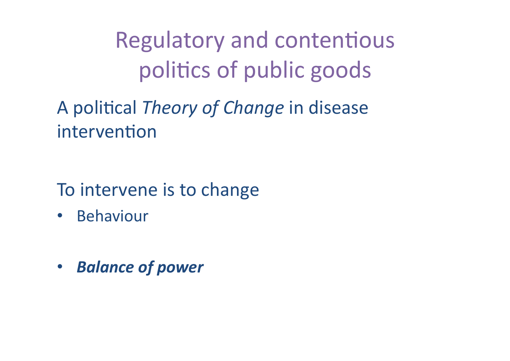**Regulatory and contentious** politics of public goods

A political Theory of Change in disease intervention

To intervene is to change

- **Behaviour**  $\bullet$
- **Balance of power**  $\bullet$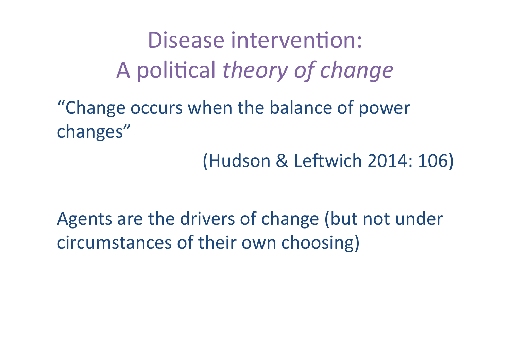Disease intervention: A political *theory of change* 

"Change occurs when the balance of power changes" 

(Hudson & Leftwich 2014: 106)

Agents are the drivers of change (but not under circumstances of their own choosing)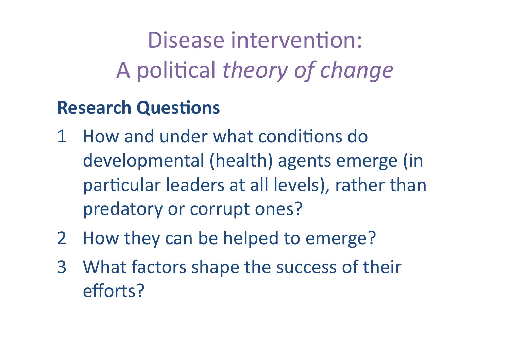Disease intervention: A political *theory of change* 

### **Research Questions**

- 1 How and under what conditions do developmental (health) agents emerge (in particular leaders at all levels), rather than predatory or corrupt ones?
- 2 How they can be helped to emerge?
- 3 What factors shape the success of their efforts?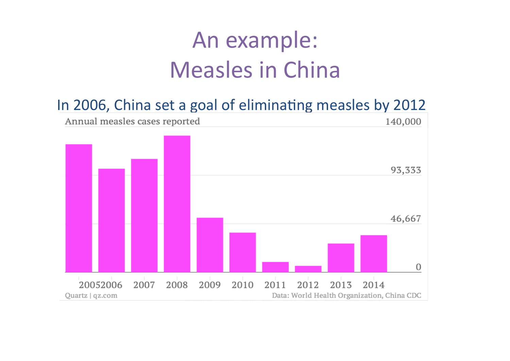### An example: **Measles in China**

#### In 2006, China set a goal of eliminating measles by 2012

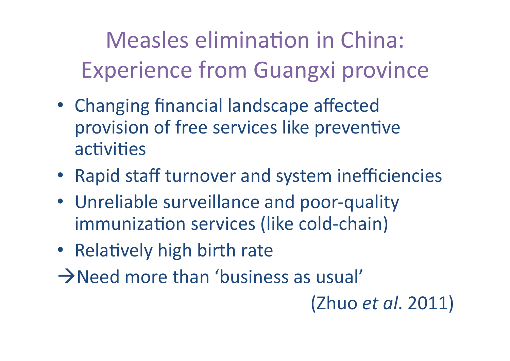Measles elimination in China: Experience from Guangxi province

- Changing financial landscape affected provision of free services like preventive activities
- Rapid staff turnover and system inefficiencies
- Unreliable surveillance and poor-quality immunization services (like cold-chain)
- Relatively high birth rate
- $\rightarrow$  Need more than 'business as usual'

(Zhuo *et al*. 2011)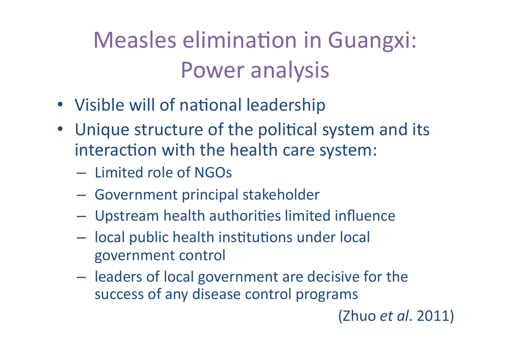**Measles elimination in Guangxi: Power analysis** 

- Visible will of national leadership
- Unique structure of the political system and its interaction with the health care system:
	- Limited role of NGOs
	- Government principal stakeholder
	- Upstream health authorities limited influence
	- local public health institutions under local government control
	- leaders of local government are decisive for the success of any disease control programs

#### (Zhuo *et al.* 2011)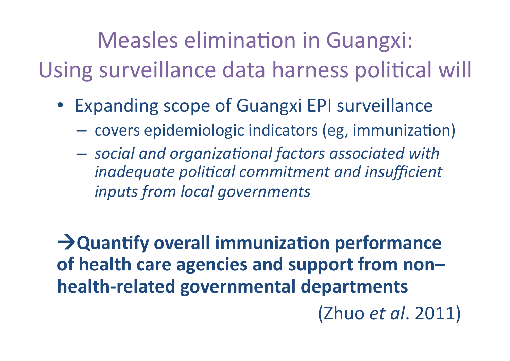Measles elimination in Guangxi: Using surveillance data harness political will

- Expanding scope of Guangxi EPI surveillance
	- covers epidemiologic indicators (eg, immunization)
	- $-$  social and organizational factors associated with *inadequate political commitment and insufficient inputs from local governments*

**Aguantify overall immunization performance** of health care agencies and support from non**health-related governmental departments** (Zhuo *et al*. 2011)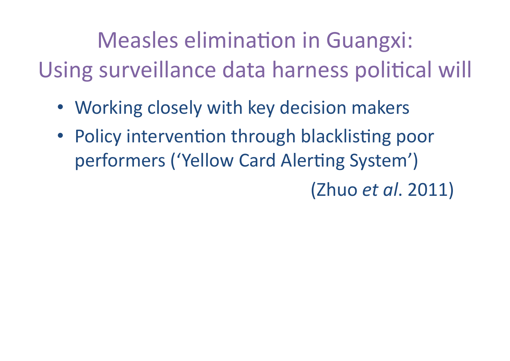Measles elimination in Guangxi: Using surveillance data harness political will

- Working closely with key decision makers
- Policy intervention through blacklisting poor performers ('Yellow Card Alerting System')

(Zhuo *et al*. 2011)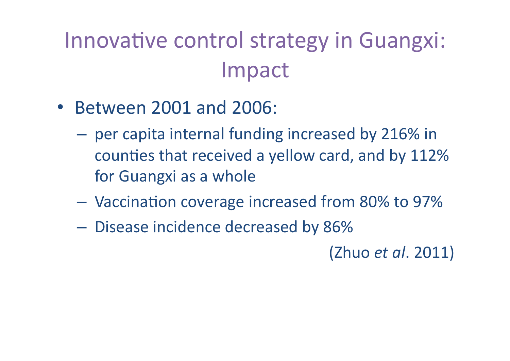### Innovative control strategy in Guangxi: Impact

- Between 2001 and 2006:
	- per capita internal funding increased by 216% in counties that received a yellow card, and by 112% for Guangxi as a whole
	- Vaccination coverage increased from 80% to 97%
	- Disease incidence decreased by 86%

(Zhuo *et al.* 2011)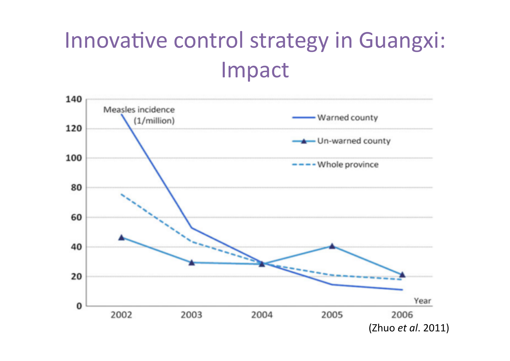### Innovative control strategy in Guangxi: Impact

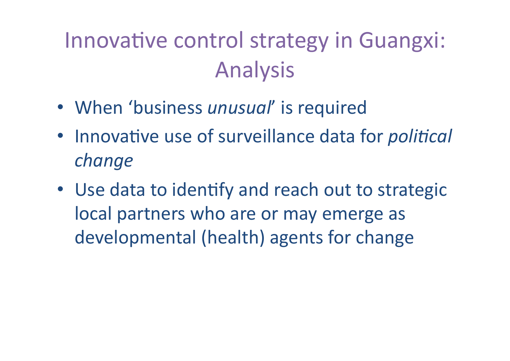### Innovative control strategy in Guangxi: Analysis

- When 'business *unusual'* is required
- Innovative use of surveillance data for *political change*
- Use data to identify and reach out to strategic local partners who are or may emerge as developmental (health) agents for change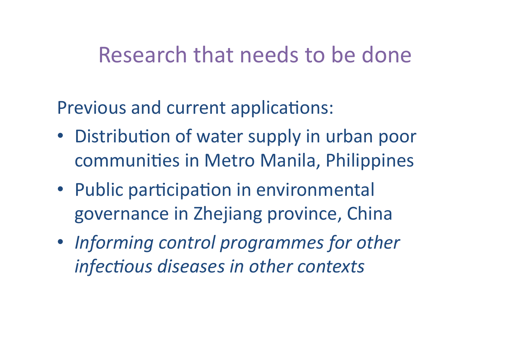### Research that needs to be done

Previous and current applications:

- Distribution of water supply in urban poor communities in Metro Manila, Philippines
- Public participation in environmental governance in Zhejiang province, China
- Informing control programmes for other *infectious diseases in other contexts*